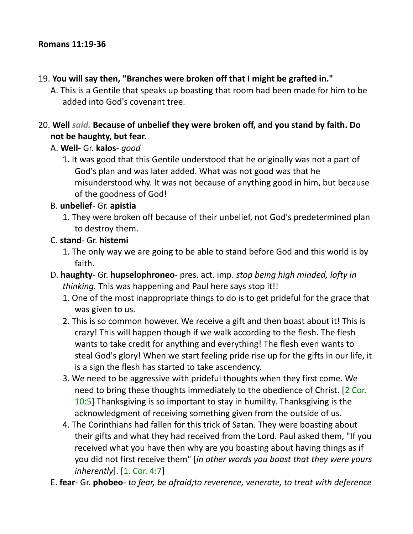#### 19. **You will say then, "Branches were broken off that I might be grafted in."**

A. This is a Gentile that speaks up boasting that room had been made for him to be added into God's covenant tree.

#### 20. **Well** *said.* **Because of unbelief they were broken off, and you stand by faith. Do not be haughty, but fear.**

- A. **Well-** Gr. **kalos** *good*
	- 1. It was good that this Gentile understood that he originally was not a part of God's plan and was later added. What was not good was that he misunderstood why. It was not because of anything good in him, but because of the goodness of God!

#### B. **unbelief**- Gr. **apistia**

1. They were broken off because of their unbelief, not God's predetermined plan to destroy them.

#### C. **stand**- Gr. **histemi**

- 1. The only way we are going to be able to stand before God and this world is by faith.
- D. **haughty** Gr. **hupselophroneo** pres. act. imp. *stop being high minded, lofty in thinking.* This was happening and Paul here says stop it!!
	- 1. One of the most inappropriate things to do is to get prideful for the grace that was given to us.
	- 2. This is so common however. We receive a gift and then boast about it! This is crazy! This will happen though if we walk according to the flesh. The flesh wants to take credit for anything and everything! The flesh even wants to steal God's glory! When we start feeling pride rise up for the gifts in our life, it is a sign the flesh has started to take ascendency.
	- 3. We need to be aggressive with prideful thoughts when they first come. We need to bring these thoughts immediately to the obedience of Christ. [2 Cor. 10:5] Thanksgiving is so important to stay in humility. Thanksgiving is the acknowledgment of receiving something given from the outside of us.
	- 4. The Corinthians had fallen for this trick of Satan. They were boasting about their gifts and what they had received from the Lord. Paul asked them, "If you received what you have then why are you boasting about having things as if you did not first receive them" [*in other words you boast that they were yours inherently*]. [1. Cor. 4:7]
- E. **fear** Gr. **phobeo** *to fear, be afraid;to reverence, venerate, to treat with deference*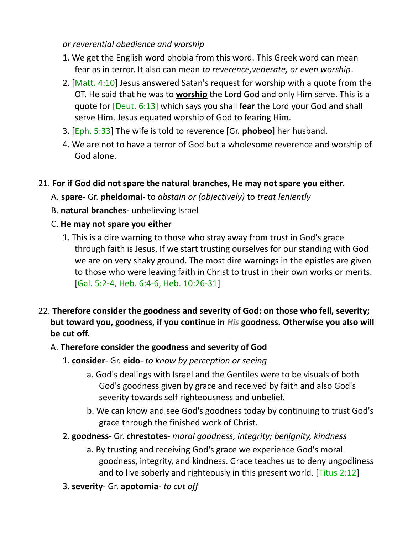#### *or reverential obedience and worship*

- 1. We get the English word phobia from this word. This Greek word can mean fear as in terror. It also can mean *to reverence,venerate, or even worship*.
- 2. [Matt. 4:10] Jesus answered Satan's request for worship with a quote from the OT. He said that he was to **worship** the Lord God and only Him serve. This is a quote for [Deut. 6:13] which says you shall **fear** the Lord your God and shall serve Him. Jesus equated worship of God to fearing Him.
- 3. [Eph. 5:33] The wife is told to reverence [Gr. **phobeo**] her husband.
- 4. We are not to have a terror of God but a wholesome reverence and worship of God alone.

### 21. **For if God did not spare the natural branches, He may not spare you either.**

A. **spare**- Gr. **pheidomai-** to *abstain or (objectively)* to *treat leniently*

- B. **natural branches** unbelieving Israel
- C. **He may not spare you either**
	- 1. This is a dire warning to those who stray away from trust in God's grace through faith is Jesus. If we start trusting ourselves for our standing with God we are on very shaky ground. The most dire warnings in the epistles are given to those who were leaving faith in Christ to trust in their own works or merits. [Gal. 5:2-4, Heb. 6:4-6, Heb. 10:26-31]
- 22. **Therefore consider the goodness and severity of God: on those who fell, severity; but toward you, goodness, if you continue in** *His* **goodness. Otherwise you also will be cut off.**

# A. **Therefore consider the goodness and severity of God**

- 1. **consider** Gr. **eido** *to know by perception or seeing*
	- a. God's dealings with Israel and the Gentiles were to be visuals of both God's goodness given by grace and received by faith and also God's severity towards self righteousness and unbelief.
	- b. We can know and see God's goodness today by continuing to trust God's grace through the finished work of Christ.
- 2. **goodness** Gr. **chrestotes** *moral goodness, integrity; benignity, kindness*
	- a. By trusting and receiving God's grace we experience God's moral goodness, integrity, and kindness. Grace teaches us to deny ungodliness and to live soberly and righteously in this present world. [Titus 2:12]
- 3. **severity** Gr. **apotomia** *to cut off*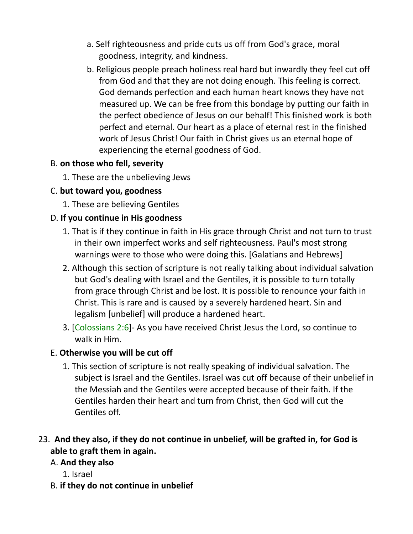- a. Self righteousness and pride cuts us off from God's grace, moral goodness, integrity, and kindness.
- b. Religious people preach holiness real hard but inwardly they feel cut off from God and that they are not doing enough. This feeling is correct. God demands perfection and each human heart knows they have not measured up. We can be free from this bondage by putting our faith in the perfect obedience of Jesus on our behalf! This finished work is both perfect and eternal. Our heart as a place of eternal rest in the finished work of Jesus Christ! Our faith in Christ gives us an eternal hope of experiencing the eternal goodness of God.

#### B. **on those who fell, severity**

1. These are the unbelieving Jews

# C. **but toward you, goodness**

1. These are believing Gentiles

# D. **If you continue in His goodness**

- 1. That is if they continue in faith in His grace through Christ and not turn to trust in their own imperfect works and self righteousness. Paul's most strong warnings were to those who were doing this. [Galatians and Hebrews]
- 2. Although this section of scripture is not really talking about individual salvation but God's dealing with Israel and the Gentiles, it is possible to turn totally from grace through Christ and be lost. It is possible to renounce your faith in Christ. This is rare and is caused by a severely hardened heart. Sin and legalism [unbelief] will produce a hardened heart.
- 3. [Colossians 2:6]- As you have received Christ Jesus the Lord, so continue to walk in Him.

# E. **Otherwise you will be cut off**

1. This section of scripture is not really speaking of individual salvation. The subject is Israel and the Gentiles. Israel was cut off because of their unbelief in the Messiah and the Gentiles were accepted because of their faith. If the Gentiles harden their heart and turn from Christ, then God will cut the Gentiles off.

# 23. **And they also, if they do not continue in unbelief, will be grafted in, for God is able to graft them in again.**

# A. **And they also**

- 1. Israel
- B. **if they do not continue in unbelief**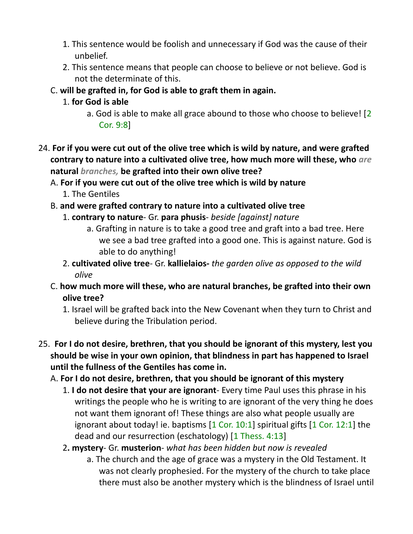- 1. This sentence would be foolish and unnecessary if God was the cause of their unbelief.
- 2. This sentence means that people can choose to believe or not believe. God is not the determinate of this.
- C. **will be grafted in, for God is able to graft them in again.**
	- 1. **for God is able**
		- a. God is able to make all grace abound to those who choose to believe! [2 Cor. 9:8]
- 24. **For if you were cut out of the olive tree which is wild by nature, and were grafted contrary to nature into a cultivated olive tree, how much more will these, who** *are* **natural** *branches,* **be grafted into their own olive tree?**

A. **For if you were cut out of the olive tree which is wild by nature**

- 1. The Gentiles
- B. **and were grafted contrary to nature into a cultivated olive tree**
	- 1. **contrary to nature** Gr. **para phusis** *beside [against] nature*
		- a. Grafting in nature is to take a good tree and graft into a bad tree. Here we see a bad tree grafted into a good one. This is against nature. God is able to do anything!
	- 2. **cultivated olive tree** Gr. **kallielaios-** *the garden olive as opposed to the wild olive*
- C. **how much more will these, who are natural branches, be grafted into their own olive tree?**
	- 1. Israel will be grafted back into the New Covenant when they turn to Christ and believe during the Tribulation period.
- 25. **For I do not desire, brethren, that you should be ignorant of this mystery, lest you should be wise in your own opinion, that blindness in part has happened to Israel until the fullness of the Gentiles has come in.** 
	- A. **For I do not desire, brethren, that you should be ignorant of this mystery**
		- 1. **I do not desire that your are ignorant** Every time Paul uses this phrase in his writings the people who he is writing to are ignorant of the very thing he does not want them ignorant of! These things are also what people usually are ignorant about today! ie. baptisms  $[1 \text{ Cor. } 10:1]$  spiritual gifts  $[1 \text{ Cor. } 12:1]$  the dead and our resurrection (eschatology) [1 Thess. 4:13]
		- 2**. mystery** Gr. **musterion** *what has been hidden but now is revealed*
			- a. The church and the age of grace was a mystery in the Old Testament. It was not clearly prophesied. For the mystery of the church to take place there must also be another mystery which is the blindness of Israel until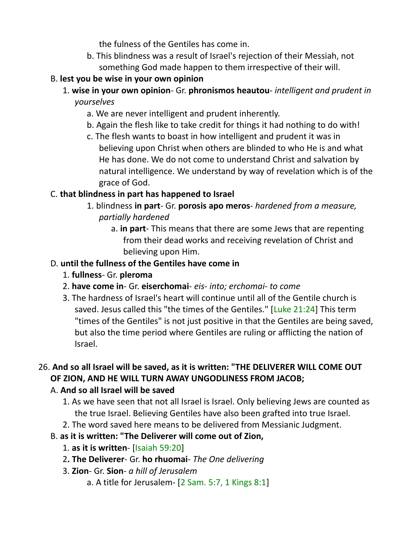the fulness of the Gentiles has come in.

b. This blindness was a result of Israel's rejection of their Messiah, not something God made happen to them irrespective of their will.

### B. **lest you be wise in your own opinion**

- 1. **wise in your own opinion** Gr. **phronismos heautou** *intelligent and prudent in yourselves*
	- a. We are never intelligent and prudent inherently.
	- b. Again the flesh like to take credit for things it had nothing to do with!
	- c. The flesh wants to boast in how intelligent and prudent it was in believing upon Christ when others are blinded to who He is and what He has done. We do not come to understand Christ and salvation by natural intelligence. We understand by way of revelation which is of the grace of God.

# C. **that blindness in part has happened to Israel**

- 1. blindness **in part** Gr. **porosis apo meros** *hardened from a measure, partially hardened*
	- a. **in part** This means that there are some Jews that are repenting from their dead works and receiving revelation of Christ and believing upon Him.

# D. **until the fullness of the Gentiles have come in**

- 1. **fullness** Gr. **pleroma**
- 2. **have come in** Gr. **eiserchomai** *eis- into; erchomai- to come*
- 3. The hardness of Israel's heart will continue until all of the Gentile church is saved. Jesus called this "the times of the Gentiles." [Luke 21:24] This term "times of the Gentiles" is not just positive in that the Gentiles are being saved, but also the time period where Gentiles are ruling or afflicting the nation of Israel.

# 26. **And so all Israel will be saved, as it is written: "THE DELIVERER WILL COME OUT OF ZION, AND HE WILL TURN AWAY UNGODLINESS FROM JACOB;**

# A. **And so all Israel will be saved**

- 1. As we have seen that not all Israel is Israel. Only believing Jews are counted as the true Israel. Believing Gentiles have also been grafted into true Israel.
- 2. The word saved here means to be delivered from Messianic Judgment.
- B. **as it is written: "The Deliverer will come out of Zion,** 
	- 1. **as it is written** [Isaiah 59:20]
	- 2**. The Deliverer** Gr. **ho rhuomai** *The One delivering*
	- 3. **Zion** Gr. **Sion** *a hill of Jerusalem*
		- a. A title for Jerusalem- [2 Sam. 5:7, 1 Kings 8:1]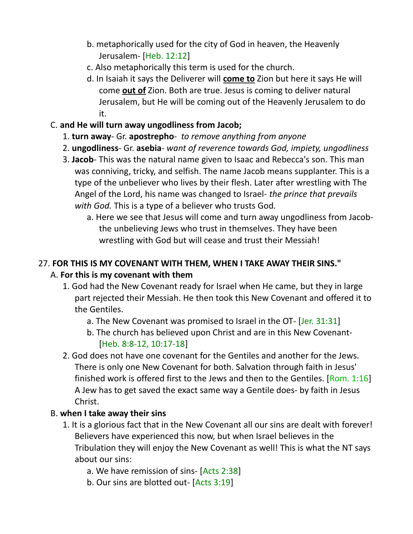- b. metaphorically used for the city of God in heaven, the Heavenly Jerusalem- [Heb. 12:12]
- c. Also metaphorically this term is used for the church.
- d. In Isaiah it says the Deliverer will **come to** Zion but here it says He will come **out of** Zion. Both are true. Jesus is coming to deliver natural Jerusalem, but He will be coming out of the Heavenly Jerusalem to do it.

### C. **and He will turn away ungodliness from Jacob;**

- 1. **turn away** Gr. **apostrepho** *to remove anything from anyone*
- 2. **ungodliness** Gr. **asebia** *want of reverence towards God, impiety, ungodliness*
- 3. **Jacob** This was the natural name given to Isaac and Rebecca's son. This man was conniving, tricky, and selfish. The name Jacob means supplanter. This is a type of the unbeliever who lives by their flesh. Later after wrestling with The Angel of the Lord, his name was changed to Israel- *the prince that prevails with God.* This is a type of a believer who trusts God*.*
	- a. Here we see that Jesus will come and turn away ungodliness from Jacobthe unbelieving Jews who trust in themselves. They have been wrestling with God but will cease and trust their Messiah!

# 27. **FOR THIS IS MY COVENANT WITH THEM, WHEN I TAKE AWAY THEIR SINS."**  A. **For this is my covenant with them**

- 1. God had the New Covenant ready for Israel when He came, but they in large part rejected their Messiah. He then took this New Covenant and offered it to the Gentiles.
	- a. The New Covenant was promised to Israel in the OT- [Jer. 31:31]
	- b. The church has believed upon Christ and are in this New Covenant- [Heb. 8:8-12, 10:17-18]
- 2. God does not have one covenant for the Gentiles and another for the Jews. There is only one New Covenant for both. Salvation through faith in Jesus' finished work is offered first to the Jews and then to the Gentiles. [Rom. 1:16] A Jew has to get saved the exact same way a Gentile does- by faith in Jesus Christ.

# B. **when I take away their sins**

- 1. It is a glorious fact that in the New Covenant all our sins are dealt with forever! Believers have experienced this now, but when Israel believes in the Tribulation they will enjoy the New Covenant as well! This is what the NT says about our sins:
	- a. We have remission of sins- [Acts 2:38]
	- b. Our sins are blotted out- [Acts 3:19]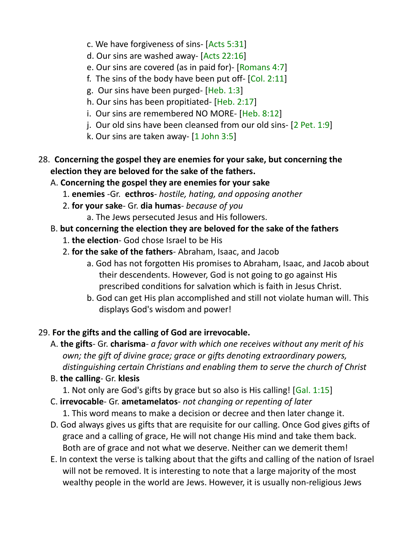- c. We have forgiveness of sins- [Acts 5:31]
- d. Our sins are washed away- [Acts 22:16]
- e. Our sins are covered (as in paid for)- [Romans 4:7]
- f. The sins of the body have been put off-  $[Col. 2:11]$
- g. Our sins have been purged- [Heb. 1:3]
- h. Our sins has been propitiated- [Heb. 2:17]
- i. Our sins are remembered NO MORE- [Heb. 8:12]
- j. Our old sins have been cleansed from our old sins- [2 Pet. 1:9]
- k. Our sins are taken away- [1 John 3:5]
- 28. **Concerning the gospel they are enemies for your sake, but concerning the election they are beloved for the sake of the fathers.** 
	- A. **Concerning the gospel they are enemies for your sake**
		- 1. **enemies** -Gr. **ecthros** *hostile, hating, and opposing another*
		- 2. **for your sake** Gr. **dia humas** *because of you*
			- a. The Jews persecuted Jesus and His followers.

# B. **but concerning the election they are beloved for the sake of the fathers**

- 1. **the election** God chose Israel to be His
- 2. **for the sake of the fathers** Abraham, Isaac, and Jacob
	- a. God has not forgotten His promises to Abraham, Isaac, and Jacob about their descendents. However, God is not going to go against His prescribed conditions for salvation which is faith in Jesus Christ.
	- b. God can get His plan accomplished and still not violate human will. This displays God's wisdom and power!

# 29. **For the gifts and the calling of God are irrevocable.**

- A. **the gifts** Gr. **charisma** *a favor with which one receives without any merit of his own; the gift of divine grace; grace or gifts denoting extraordinary powers, distinguishing certain Christians and enabling them to serve the church of Christ*
- B. **the calling** Gr. **klesis**
	- 1. Not only are God's gifts by grace but so also is His calling! [Gal. 1:15]
- C. **irrevocable** Gr. **ametamelatos** *not changing or repenting of later*
	- 1. This word means to make a decision or decree and then later change it.
- D. God always gives us gifts that are requisite for our calling. Once God gives gifts of grace and a calling of grace, He will not change His mind and take them back. Both are of grace and not what we deserve. Neither can we demerit them!
- E. In context the verse is talking about that the gifts and calling of the nation of Israel will not be removed. It is interesting to note that a large majority of the most wealthy people in the world are Jews. However, it is usually non-religious Jews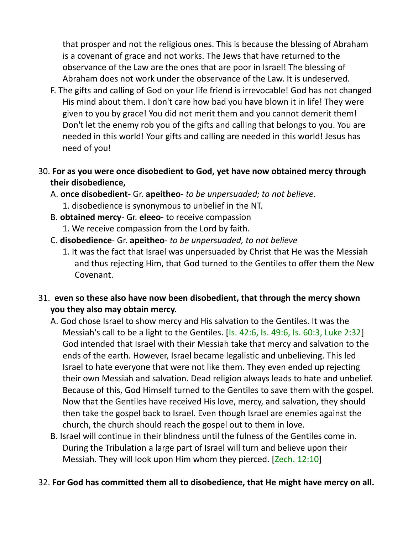that prosper and not the religious ones. This is because the blessing of Abraham is a covenant of grace and not works. The Jews that have returned to the observance of the Law are the ones that are poor in Israel! The blessing of Abraham does not work under the observance of the Law. It is undeserved.

- F. The gifts and calling of God on your life friend is irrevocable! God has not changed His mind about them. I don't care how bad you have blown it in life! They were given to you by grace! You did not merit them and you cannot demerit them! Don't let the enemy rob you of the gifts and calling that belongs to you. You are needed in this world! Your gifts and calling are needed in this world! Jesus has need of you!
- 30. **For as you were once disobedient to God, yet have now obtained mercy through their disobedience,** 
	- A. **once disobedient** Gr. **apeitheo** *to be unpersuaded; to not believe.*
		- 1. disobedience is synonymous to unbelief in the NT.
	- B. **obtained mercy** Gr. **eleeo-** to receive compassion
		- 1. We receive compassion from the Lord by faith.
	- C. **disobedience** Gr. **apeitheo** *to be unpersuaded, to not believe*
		- 1. It was the fact that Israel was unpersuaded by Christ that He was the Messiah and thus rejecting Him, that God turned to the Gentiles to offer them the New Covenant.
- 31. **even so these also have now been disobedient, that through the mercy shown you they also may obtain mercy.**
	- A. God chose Israel to show mercy and His salvation to the Gentiles. It was the Messiah's call to be a light to the Gentiles. [Is. 42:6, Is. 49:6, Is. 60:3, Luke 2:32] God intended that Israel with their Messiah take that mercy and salvation to the ends of the earth. However, Israel became legalistic and unbelieving. This led Israel to hate everyone that were not like them. They even ended up rejecting their own Messiah and salvation. Dead religion always leads to hate and unbelief. Because of this, God Himself turned to the Gentiles to save them with the gospel. Now that the Gentiles have received His love, mercy, and salvation, they should then take the gospel back to Israel. Even though Israel are enemies against the church, the church should reach the gospel out to them in love.
	- B. Israel will continue in their blindness until the fulness of the Gentiles come in. During the Tribulation a large part of Israel will turn and believe upon their Messiah. They will look upon Him whom they pierced. [Zech. 12:10]

#### 32. **For God has committed them all to disobedience, that He might have mercy on all.**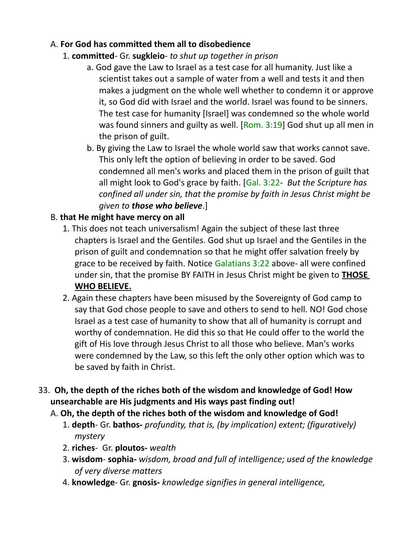## A. **For God has committed them all to disobedience**

# 1. **committed**- Gr. **sugkleio**- *to shut up together in prison*

- a. God gave the Law to Israel as a test case for all humanity. Just like a scientist takes out a sample of water from a well and tests it and then makes a judgment on the whole well whether to condemn it or approve it, so God did with Israel and the world. Israel was found to be sinners. The test case for humanity [Israel] was condemned so the whole world was found sinners and guilty as well.  $[Rom. 3:19]$  God shut up all men in the prison of guilt.
- b. By giving the Law to Israel the whole world saw that works cannot save. This only left the option of believing in order to be saved. God condemned all men's works and placed them in the prison of guilt that all might look to God's grace by faith. [Gal. 3:22- *But the Scripture has confined all under sin, that the promise by faith in Jesus Christ might be given to those who believe*.]

# B. **that He might have mercy on all**

- 1. This does not teach universalism! Again the subject of these last three chapters is Israel and the Gentiles. God shut up Israel and the Gentiles in the prison of guilt and condemnation so that he might offer salvation freely by grace to be received by faith. Notice Galatians 3:22 above- all were confined under sin, that the promise BY FAITH in Jesus Christ might be given to **THOSE WHO BELIEVE.**
- 2. Again these chapters have been misused by the Sovereignty of God camp to say that God chose people to save and others to send to hell. NO! God chose Israel as a test case of humanity to show that all of humanity is corrupt and worthy of condemnation. He did this so that He could offer to the world the gift of His love through Jesus Christ to all those who believe. Man's works were condemned by the Law, so this left the only other option which was to be saved by faith in Christ.
- 33. **Oh, the depth of the riches both of the wisdom and knowledge of God! How unsearchable are His judgments and His ways past finding out!** 
	- A. **Oh, the depth of the riches both of the wisdom and knowledge of God!**
		- 1. **depth** Gr. **bathos-** *profundity, that is, (by implication) extent; (figuratively) mystery*
		- 2. **riches** Gr. **ploutos-** *wealth*
		- 3. **wisdom sophia-** *wisdom, broad and full of intelligence; used of the knowledge of very diverse matters*
		- 4. **knowledge** Gr. **gnosis-** *knowledge signifies in general intelligence,*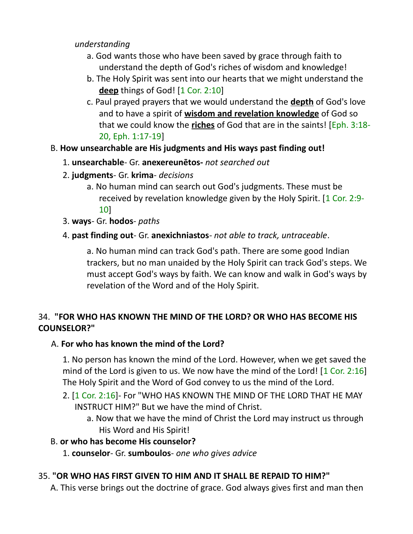*understanding*

- a. God wants those who have been saved by grace through faith to understand the depth of God's riches of wisdom and knowledge!
- b. The Holy Spirit was sent into our hearts that we might understand the **deep** things of God! [1 Cor. 2:10]
- c. Paul prayed prayers that we would understand the **depth** of God's love and to have a spirit of **wisdom and revelation knowledge** of God so that we could know the **riches** of God that are in the saints! [Eph. 3:18- 20, Eph. 1:17-19]
- B. **How unsearchable are His judgments and His ways past finding out!**
	- 1. **unsearchable** Gr. **anexereunetos-** *not searched out*
	- 2. **judgments** Gr. **krima** *decisions*
		- a. No human mind can search out God's judgments. These must be received by revelation knowledge given by the Holy Spirit. [1 Cor. 2:9- 10]
	- 3. **ways** Gr. **hodos** *paths*
	- 4. **past finding out** Gr. **anexichniastos** *not able to track, untraceable*.

a. No human mind can track God's path. There are some good Indian trackers, but no man unaided by the Holy Spirit can track God's steps. We must accept God's ways by faith. We can know and walk in God's ways by revelation of the Word and of the Holy Spirit.

# 34. **"FOR WHO HAS KNOWN THE MIND OF THE LORD? OR WHO HAS BECOME HIS COUNSELOR?"**

#### A. **For who has known the mind of the Lord?**

1. No person has known the mind of the Lord. However, when we get saved the mind of the Lord is given to us. We now have the mind of the Lord!  $[1 \text{ Cor. } 2:16]$ The Holy Spirit and the Word of God convey to us the mind of the Lord.

- 2. [1 Cor. 2:16]- For "WHO HAS KNOWN THE MIND OF THE LORD THAT HE MAY INSTRUCT HIM?" But we have the mind of Christ.
	- a. Now that we have the mind of Christ the Lord may instruct us through His Word and His Spirit!

#### B. **or who has become His counselor?**

1. **counselor**- Gr. **sumboulos**- *one who gives advice*

#### 35. **"OR WHO HAS FIRST GIVEN TO HIM AND IT SHALL BE REPAID TO HIM?"**

A. This verse brings out the doctrine of grace. God always gives first and man then